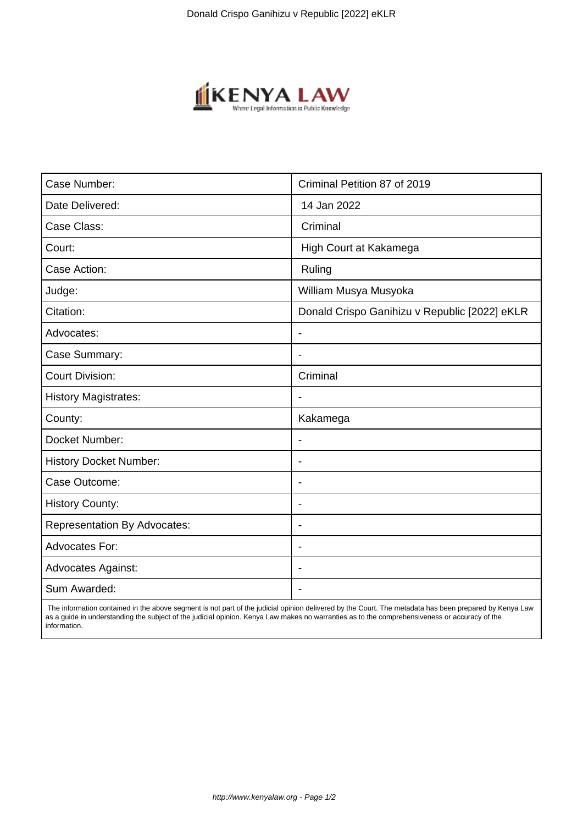

| Case Number:                        | Criminal Petition 87 of 2019                  |
|-------------------------------------|-----------------------------------------------|
| Date Delivered:                     | 14 Jan 2022                                   |
| Case Class:                         | Criminal                                      |
| Court:                              | High Court at Kakamega                        |
| Case Action:                        | Ruling                                        |
| Judge:                              | William Musya Musyoka                         |
| Citation:                           | Donald Crispo Ganihizu v Republic [2022] eKLR |
| Advocates:                          | $\blacksquare$                                |
| Case Summary:                       | $\overline{\phantom{0}}$                      |
| <b>Court Division:</b>              | Criminal                                      |
| <b>History Magistrates:</b>         |                                               |
| County:                             | Kakamega                                      |
| Docket Number:                      |                                               |
| <b>History Docket Number:</b>       | $\overline{\phantom{a}}$                      |
| Case Outcome:                       | $\blacksquare$                                |
| <b>History County:</b>              | ÷.                                            |
| <b>Representation By Advocates:</b> | $\blacksquare$                                |
| <b>Advocates For:</b>               | $\overline{\phantom{a}}$                      |
| <b>Advocates Against:</b>           |                                               |
| Sum Awarded:                        |                                               |

 The information contained in the above segment is not part of the judicial opinion delivered by the Court. The metadata has been prepared by Kenya Law as a guide in understanding the subject of the judicial opinion. Kenya Law makes no warranties as to the comprehensiveness or accuracy of the information.